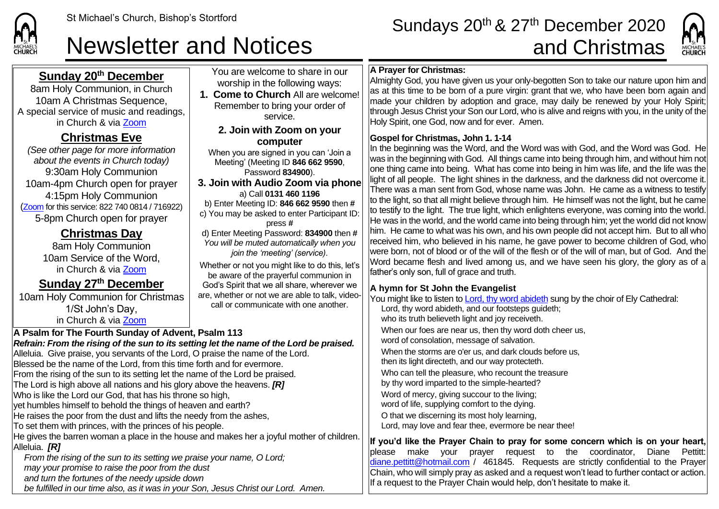# St Michael's Church, Bishop's Stortford Sundays 20<sup>th</sup> & 27<sup>th</sup> December 2020 Newsletter and Notices and Christmas



# **Sunday 20th December**

8am Holy Communion, in Church 10am A Christmas Sequence, A special service of music and readings, in Church & via [Zoom](https://zoom.us/)

# **Christmas Eve**

*(See other page for more information about the events in Church today)* 9:30am Holy Communion 10am-4pm Church open for prayer 4:15pm Holy Communion ([Zoom](https://zoom.us/) for this service: 822 740 0814 / 716922) 5-8pm Church open for prayer

> **Christmas Day** 8am Holy Communion 10am Service of the Word, in Church & via [Zoom](https://zoom.us/)

## **Sunday 27th December**

10am Holy Communion for Christmas 1/St John's Day, in Church & via [Zoom](https://zoom.us/)

#### You are welcome to share in our worship in the following ways: **1. Come to Church** All are welcome! Remember to bring your order of service. **2. Join with Zoom on your computer** When you are signed in you can 'Join a Meeting' (Meeting ID **846 662 9590**, Password **834900**). **3. Join with Audio Zoom via phone**  a) Call **0131 460 1196** b) Enter Meeting ID: **846 662 9590** then **#** c) You may be asked to enter Participant ID: press **#** d) Enter Meeting Password: **834900** then **#** *You will be muted automatically when you join the 'meeting' (service).* Whether or not you might like to do this, let's be aware of the prayerful communion in God's Spirit that we all share, wherever we are, whether or not we are able to talk, videocall or communicate with one another. **A Psalm for The Fourth Sunday of Advent, Psalm 113**

*Refrain: From the rising of the sun to its setting let the name of the Lord be praised.* Alleluia. Give praise, you servants of the Lord, O praise the name of the Lord. Blessed be the name of the Lord, from this time forth and for evermore. From the rising of the sun to its setting let the name of the Lord be praised. The Lord is high above all nations and his glory above the heavens. *[R]* Who is like the Lord our God, that has his throne so high, vet humbles himself to behold the things of heaven and earth? He raises the poor from the dust and lifts the needy from the ashes, To set them with princes, with the princes of his people. He gives the barren woman a place in the house and makes her a joyful mother of children. Alleluia. *[R] From the rising of the sun to its setting we praise your name, O Lord; may your promise to raise the poor from the dust and turn the fortunes of the needy upside down*

*be fulfilled in our time also, as it was in your Son, Jesus Christ our Lord. Amen.*

### **A Prayer for Christmas:**

Almighty God, you have given us your only-begotten Son to take our nature upon him and as at this time to be born of a pure virgin: grant that we, who have been born again and made your children by adoption and grace, may daily be renewed by your Holy Spirit; through Jesus Christ your Son our Lord, who is alive and reigns with you, in the unity of the Holy Spirit, one God, now and for ever. Amen.

#### **Gospel for Christmas, John 1. 1-14**

In the beginning was the Word, and the Word was with God, and the Word was God. He was in the beginning with God. All things came into being through him, and without him not one thing came into being. What has come into being in him was life, and the life was the light of all people. The light shines in the darkness, and the darkness did not overcome it. There was a man sent from God, whose name was John. He came as a witness to testify to the light, so that all might believe through him. He himself was not the light, but he came to testify to the light. The true light, which enlightens everyone, was coming into the world. He was in the world, and the world came into being through him; yet the world did not know him. He came to what was his own, and his own people did not accept him. But to all who received him, who believed in his name, he gave power to become children of God, who were born, not of blood or of the will of the flesh or of the will of man, but of God. And the Word became flesh and lived among us, and we have seen his glory, the glory as of a father's only son, full of grace and truth.

### **A hymn for St John the Evangelist**

You might like to listen t[o Lord, thy word abideth](https://www.youtube.com/watch?v=cSCxsNYy2G0) sung by the choir of Ely Cathedral: Lord, thy word abideth, and our footsteps guideth; who its truth believeth light and joy receiveth. When our foes are near us, then thy word doth cheer us, word of consolation, message of salvation. When the storms are o'er us, and dark clouds before us. then its light directeth, and our way protecteth. Who can tell the pleasure, who recount the treasure by thy word imparted to the simple-hearted? Word of mercy, giving succour to the living; word of life, supplying comfort to the dying. O that we discerning its most holy learning, Lord, may love and fear thee, evermore be near thee!

**If you'd like the Prayer Chain to pray for some concern which is on your heart,** please make your prayer request to the coordinator, Diane Pettitt: [diane.pettitt@hotmail.com](mailto:diane.pettitt@hotmail.com) / 461845. Requests are strictly confidential to the Prayer Chain, who will simply pray as asked and a request won't lead to further contact or action. If a request to the Prayer Chain would help, don't hesitate to make it.